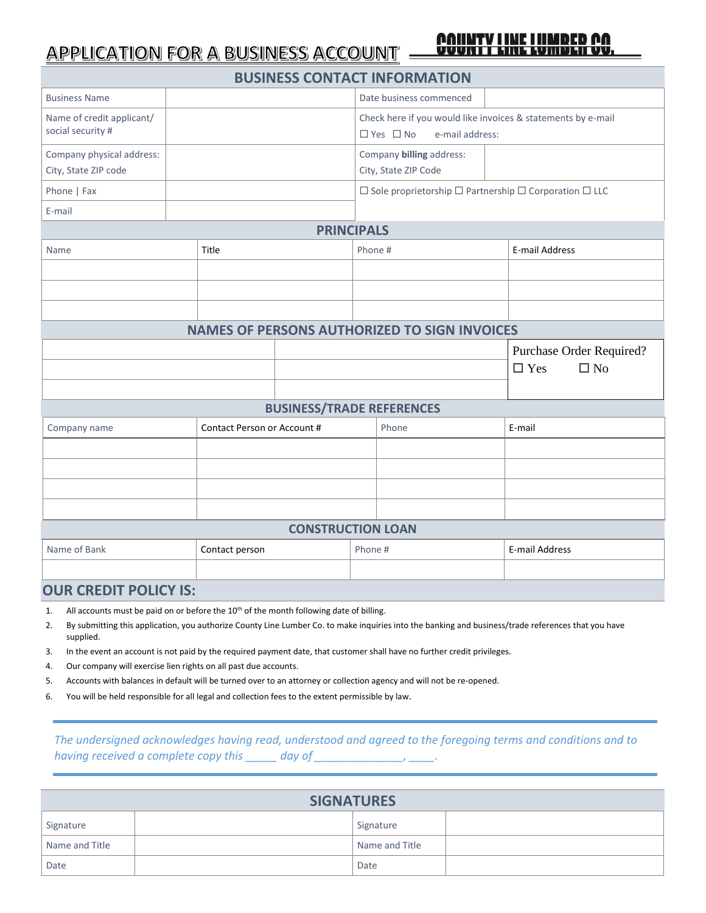## **APPLICATION FOR A BUSINESS ACCOUNT**

## UMBLII VV.

| <b>BUSINESS CONTACT INFORMATION</b>               |                             |                                  |         |                                                                                                         |                            |  |  |  |  |
|---------------------------------------------------|-----------------------------|----------------------------------|---------|---------------------------------------------------------------------------------------------------------|----------------------------|--|--|--|--|
| <b>Business Name</b>                              |                             |                                  |         | Date business commenced                                                                                 |                            |  |  |  |  |
| Name of credit applicant/<br>social security #    |                             |                                  |         | Check here if you would like invoices & statements by e-mail<br>$\Box$ Yes $\Box$ No<br>e-mail address: |                            |  |  |  |  |
| Company physical address:<br>City, State ZIP code |                             |                                  |         | Company billing address:<br>City, State ZIP Code                                                        |                            |  |  |  |  |
| Phone   Fax                                       |                             |                                  |         | $\Box$ Sole proprietorship $\Box$ Partnership $\Box$ Corporation $\Box$ LLC                             |                            |  |  |  |  |
| E-mail                                            |                             |                                  |         |                                                                                                         |                            |  |  |  |  |
| <b>PRINCIPALS</b>                                 |                             |                                  |         |                                                                                                         |                            |  |  |  |  |
| Name                                              | Title                       |                                  | Phone # |                                                                                                         | <b>E-mail Address</b>      |  |  |  |  |
|                                                   |                             |                                  |         |                                                                                                         |                            |  |  |  |  |
|                                                   |                             |                                  |         |                                                                                                         |                            |  |  |  |  |
|                                                   |                             |                                  |         |                                                                                                         |                            |  |  |  |  |
|                                                   |                             |                                  |         | <b>NAMES OF PERSONS AUTHORIZED TO SIGN INVOICES</b>                                                     |                            |  |  |  |  |
|                                                   |                             |                                  |         |                                                                                                         | Purchase Order Required?   |  |  |  |  |
|                                                   |                             |                                  |         |                                                                                                         | $\Box$ Yes<br>$\square$ No |  |  |  |  |
|                                                   |                             |                                  |         |                                                                                                         |                            |  |  |  |  |
|                                                   |                             | <b>BUSINESS/TRADE REFERENCES</b> |         |                                                                                                         |                            |  |  |  |  |
| Company name                                      | Contact Person or Account # |                                  |         | Phone                                                                                                   | E-mail                     |  |  |  |  |
|                                                   |                             |                                  |         |                                                                                                         |                            |  |  |  |  |
|                                                   |                             |                                  |         |                                                                                                         |                            |  |  |  |  |
|                                                   |                             |                                  |         |                                                                                                         |                            |  |  |  |  |
|                                                   |                             |                                  |         |                                                                                                         |                            |  |  |  |  |
| <b>CONSTRUCTION LOAN</b>                          |                             |                                  |         |                                                                                                         |                            |  |  |  |  |
| Name of Bank<br>Contact person                    |                             | Phone #                          |         | E-mail Address                                                                                          |                            |  |  |  |  |
|                                                   |                             |                                  |         |                                                                                                         |                            |  |  |  |  |

## **OUR CREDIT POLICY IS:**

- 1. All accounts must be paid on or before the 10<sup>th</sup> of the month following date of billing.
- 2. By submitting this application, you authorize County Line Lumber Co. to make inquiries into the banking and business/trade references that you have supplied.
- 3. In the event an account is not paid by the required payment date, that customer shall have no further credit privileges.
- 4. Our company will exercise lien rights on all past due accounts.
- 5. Accounts with balances in default will be turned over to an attorney or collection agency and will not be re-opened.
- 6. You will be held responsible for all legal and collection fees to the extent permissible by law.

*The undersigned acknowledges having read, understood and agreed to the foregoing terms and conditions and to having received a complete copy this \_\_\_\_\_\_\_ day of \_\_\_\_\_\_\_\_* 

| <b>SIGNATURES</b> |  |                |  |  |  |  |  |
|-------------------|--|----------------|--|--|--|--|--|
| Signature         |  | Signature      |  |  |  |  |  |
| Name and Title    |  | Name and Title |  |  |  |  |  |
| Date              |  | Date           |  |  |  |  |  |